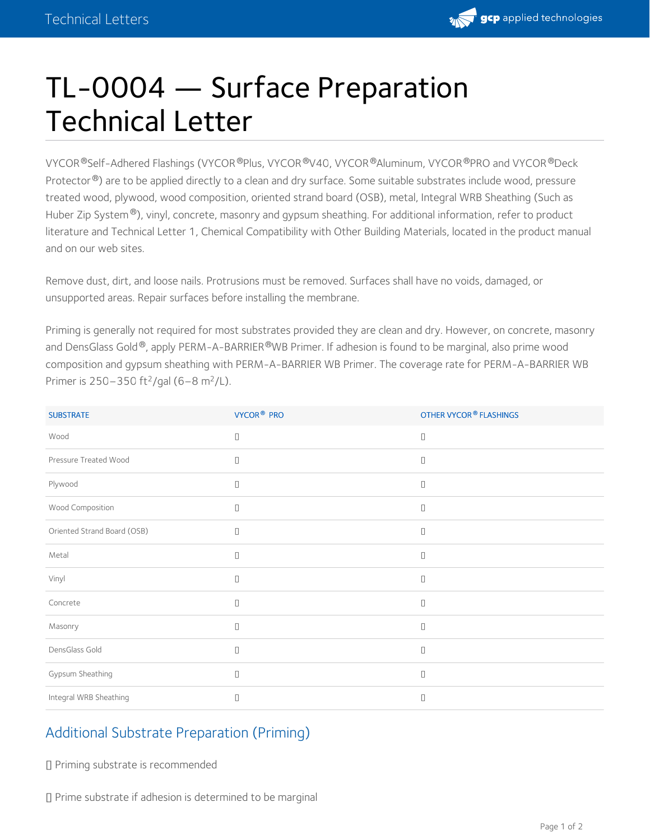

## TL-0004 — Surface Preparation Technical Letter

VYCOR®Self-Adhered Flashings (VYCOR®Plus, VYCOR®V40, VYCOR®Aluminum, VYCOR®PRO and VYCOR®Deck Protector®) are to be applied directly to a clean and dry surface. Some suitable substrates include wood, pressure treated wood, plywood, wood composition, oriented strand board (OSB), metal, Integral WRB Sheathing (Such as Huber Zip System®), vinyl, concrete, masonry and gypsum sheathing. For additional information, refer to product literature and Technical Letter 1, Chemical Compatibility with Other Building Materials, located in the product manual and on our web sites.

Remove dust, dirt, and loose nails. Protrusions must be removed. Surfaces shall have no voids, damaged, or unsupported areas. Repair surfaces before installing the membrane.

Priming is generally not required for most substrates provided they are clean and dry. However, on concrete, masonry and DensGlass Gold®, apply PERM-A-BARRIER®WB Primer. If adhesion is found to be marginal, also prime wood composition and gypsum sheathing with PERM-A-BARRIER WB Primer. The coverage rate for PERM-A-BARRIER WB Primer is 250–350 ft<sup>2</sup>/gal (6–8 m<sup>2</sup>/L).

| <b>SUBSTRATE</b>            | VYCOR <sup>®</sup> PRO                  | <b>OTHER VYCOR® FLASHINGS</b> |
|-----------------------------|-----------------------------------------|-------------------------------|
| Wood                        | $\Box$                                  | $\Box$                        |
| Pressure Treated Wood       | $\Box$                                  | $\Box$                        |
| Plywood                     | $\Box$                                  | $\Box$                        |
| Wood Composition            | П                                       | $\Box$                        |
| Oriented Strand Board (OSB) | $\Box$                                  | $\Box$                        |
| Metal                       | П                                       | $\Box$                        |
| Vinyl                       | П                                       | $\Box$                        |
| Concrete                    | $\begin{array}{ccc} \hline \end{array}$ | $\Box$                        |
| Masonry                     | П                                       | П                             |
| DensGlass Gold              | П                                       | $\Box$                        |
| Gypsum Sheathing            | П                                       | $\Box$                        |
| Integral WRB Sheathing      | $\Box$                                  | П                             |

## Additional Substrate Preparation (Priming)

Priming substrate is recommended

Prime substrate if adhesion is determined to be marginal